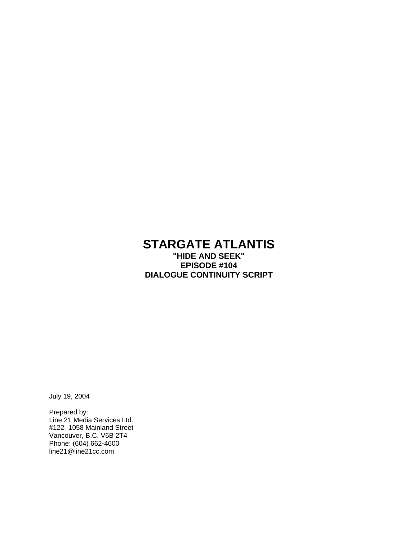## **STARGATE ATLANTIS "HIDE AND SEEK" EPISODE #104 DIALOGUE CONTINUITY SCRIPT**

July 19, 2004

Prepared by: Line 21 Media Services Ltd. #122- 1058 Mainland Street Vancouver, B.C. V6B 2T4 Phone: (604) 662-4600 line21@line21cc.com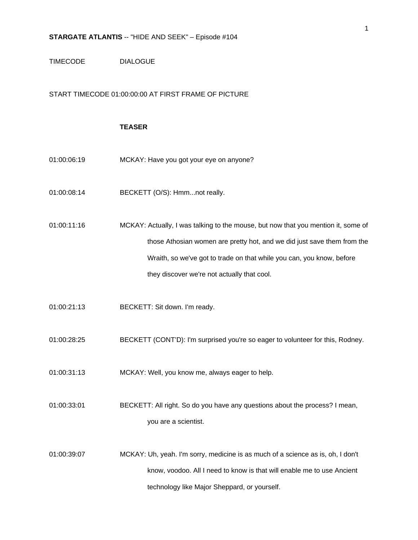### TIMECODE DIALOGUE

### START TIMECODE 01:00:00:00 AT FIRST FRAME OF PICTURE

### **TEASER**

- 01:00:06:19 MCKAY: Have you got your eye on anyone?
- 01:00:08:14 **BECKETT** (O/S): Hmm...not really.
- 01:00:11:16 MCKAY: Actually, I was talking to the mouse, but now that you mention it, some of those Athosian women are pretty hot, and we did just save them from the Wraith, so we've got to trade on that while you can, you know, before they discover we're not actually that cool.
- 01:00:21:13 BECKETT: Sit down. I'm ready.
- 01:00:28:25 BECKETT (CONT'D): I'm surprised you're so eager to volunteer for this, Rodney.
- 01:00:31:13 MCKAY: Well, you know me, always eager to help.
- 01:00:33:01 BECKETT: All right. So do you have any questions about the process? I mean, you are a scientist.
- 01:00:39:07 MCKAY: Uh, yeah. I'm sorry, medicine is as much of a science as is, oh, I don't know, voodoo. All I need to know is that will enable me to use Ancient technology like Major Sheppard, or yourself.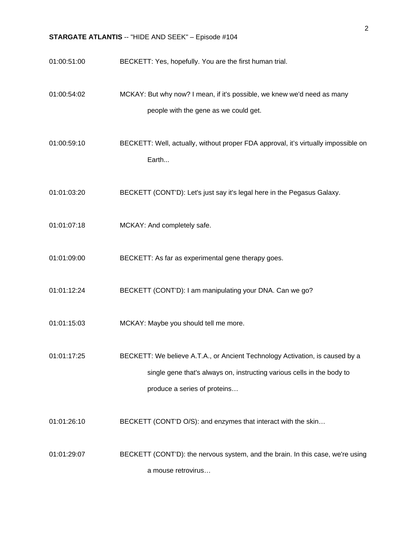01:00:51:00 BECKETT: Yes, hopefully. You are the first human trial. 01:00:54:02 MCKAY: But why now? I mean, if it's possible, we knew we'd need as many people with the gene as we could get. 01:00:59:10 BECKETT: Well, actually, without proper FDA approval, it's virtually impossible on Earth... 01:01:03:20 BECKETT (CONT'D): Let's just say it's legal here in the Pegasus Galaxy. 01:01:07:18 MCKAY: And completely safe. 01:01:09:00 BECKETT: As far as experimental gene therapy goes. 01:01:12:24 BECKETT (CONT'D): I am manipulating your DNA. Can we go? 01:01:15:03 MCKAY: Maybe you should tell me more. 01:01:17:25 BECKETT: We believe A.T.A., or Ancient Technology Activation, is caused by a single gene that's always on, instructing various cells in the body to produce a series of proteins… 01:01:26:10 BECKETT (CONT'D O/S): and enzymes that interact with the skin... 01:01:29:07 BECKETT (CONT'D): the nervous system, and the brain. In this case, we're using a mouse retrovirus…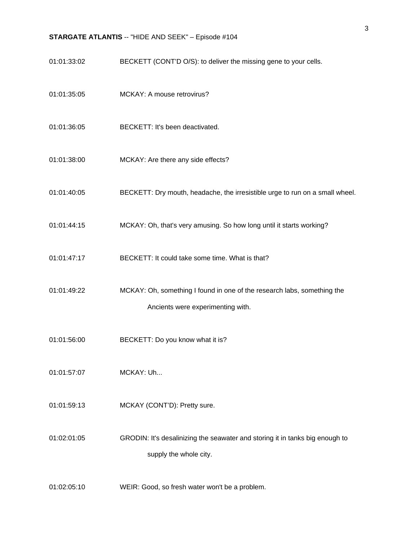01:01:33:02 BECKETT (CONT'D O/S): to deliver the missing gene to your cells. 01:01:35:05 MCKAY: A mouse retrovirus? 01:01:36:05 BECKETT: It's been deactivated. 01:01:38:00 MCKAY: Are there any side effects? 01:01:40:05 BECKETT: Dry mouth, headache, the irresistible urge to run on a small wheel. 01:01:44:15 MCKAY: Oh, that's very amusing. So how long until it starts working? 01:01:47:17 BECKETT: It could take some time. What is that? 01:01:49:22 MCKAY: Oh, something I found in one of the research labs, something the Ancients were experimenting with. 01:01:56:00 BECKETT: Do you know what it is? 01:01:57:07 MCKAY: Uh... 01:01:59:13 MCKAY (CONT'D): Pretty sure. 01:02:01:05 GRODIN: It's desalinizing the seawater and storing it in tanks big enough to supply the whole city.

01:02:05:10 WEIR: Good, so fresh water won't be a problem.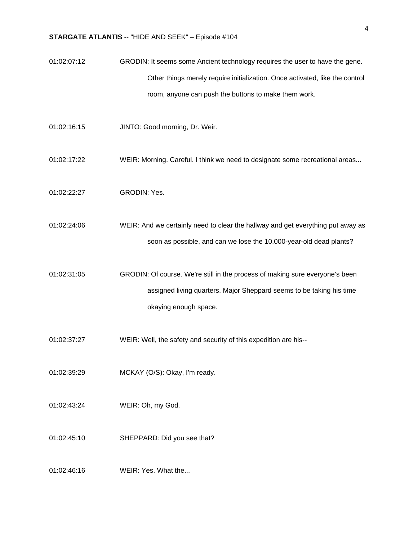- 01:02:07:12 GRODIN: It seems some Ancient technology requires the user to have the gene. Other things merely require initialization. Once activated, like the control room, anyone can push the buttons to make them work.
- 01:02:16:15 JINTO: Good morning, Dr. Weir.
- 01:02:17:22 WEIR: Morning. Careful. I think we need to designate some recreational areas...
- 01:02:22:27 GRODIN: Yes.
- 01:02:24:06 WEIR: And we certainly need to clear the hallway and get everything put away as soon as possible, and can we lose the 10,000-year-old dead plants?
- 01:02:31:05 GRODIN: Of course. We're still in the process of making sure everyone's been assigned living quarters. Major Sheppard seems to be taking his time okaying enough space.
- 01:02:37:27 WEIR: Well, the safety and security of this expedition are his--
- 01:02:39:29 MCKAY (O/S): Okay, I'm ready.
- 01:02:43:24 WEIR: Oh, my God.
- 01:02:45:10 SHEPPARD: Did you see that?
- 01:02:46:16 WEIR: Yes. What the...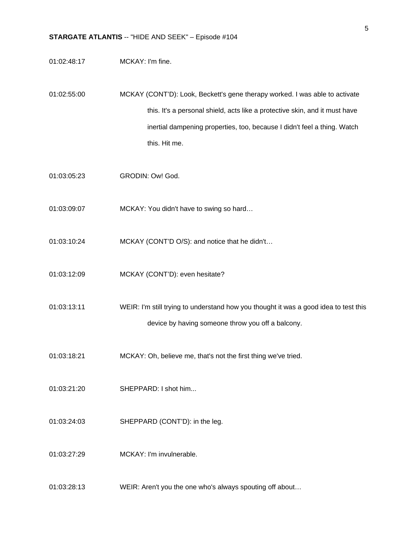- 01:02:48:17 MCKAY: I'm fine.
- 01:02:55:00 MCKAY (CONT'D): Look, Beckett's gene therapy worked. I was able to activate this. It's a personal shield, acts like a protective skin, and it must have inertial dampening properties, too, because I didn't feel a thing. Watch this. Hit me.
- 01:03:05:23 GRODIN: Ow! God.
- 01:03:09:07 MCKAY: You didn't have to swing so hard…
- 01:03:10:24 MCKAY (CONT'D O/S): and notice that he didn't…
- 01:03:12:09 MCKAY (CONT'D): even hesitate?
- 01:03:13:11 WEIR: I'm still trying to understand how you thought it was a good idea to test this device by having someone throw you off a balcony.
- 01:03:18:21 MCKAY: Oh, believe me, that's not the first thing we've tried.
- 01:03:21:20 SHEPPARD: I shot him...
- 01:03:24:03 SHEPPARD (CONT'D): in the leg.
- 01:03:27:29 MCKAY: I'm invulnerable.
- 01:03:28:13 WEIR: Aren't you the one who's always spouting off about…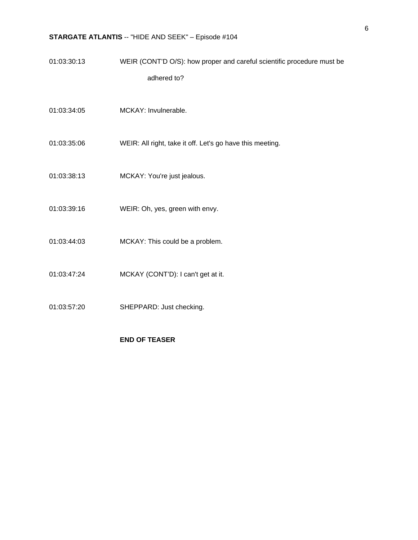01:03:30:13 WEIR (CONT'D O/S): how proper and careful scientific procedure must be adhered to?

- 01:03:34:05 MCKAY: Invulnerable.
- 01:03:35:06 WEIR: All right, take it off. Let's go have this meeting.
- 01:03:38:13 MCKAY: You're just jealous.
- 01:03:39:16 WEIR: Oh, yes, green with envy.
- 01:03:44:03 MCKAY: This could be a problem.
- 01:03:47:24 MCKAY (CONT'D): I can't get at it.
- 01:03:57:20 SHEPPARD: Just checking.

### **END OF TEASER**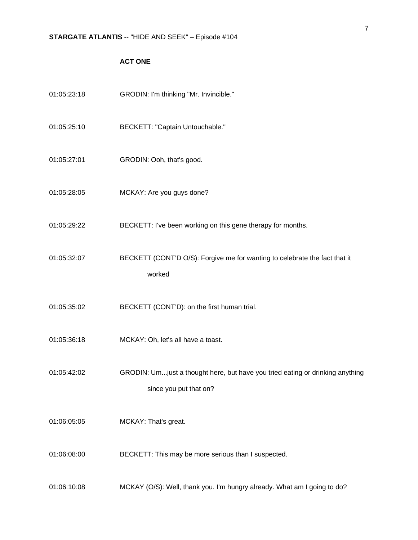## **ACT ONE**

| 01:05:23:18 | GRODIN: I'm thinking "Mr. Invincible."                                                                  |
|-------------|---------------------------------------------------------------------------------------------------------|
| 01:05:25:10 | BECKETT: "Captain Untouchable."                                                                         |
| 01:05:27:01 | GRODIN: Ooh, that's good.                                                                               |
| 01:05:28:05 | MCKAY: Are you guys done?                                                                               |
| 01:05:29:22 | BECKETT: I've been working on this gene therapy for months.                                             |
| 01:05:32:07 | BECKETT (CONT'D O/S): Forgive me for wanting to celebrate the fact that it<br>worked                    |
| 01:05:35:02 | BECKETT (CONT'D): on the first human trial.                                                             |
| 01:05:36:18 | MCKAY: Oh, let's all have a toast.                                                                      |
| 01:05:42:02 | GRODIN: Umjust a thought here, but have you tried eating or drinking anything<br>since you put that on? |
| 01:06:05:05 | MCKAY: That's great.                                                                                    |
| 01:06:08:00 | BECKETT: This may be more serious than I suspected.                                                     |
| 01:06:10:08 | MCKAY (O/S): Well, thank you. I'm hungry already. What am I going to do?                                |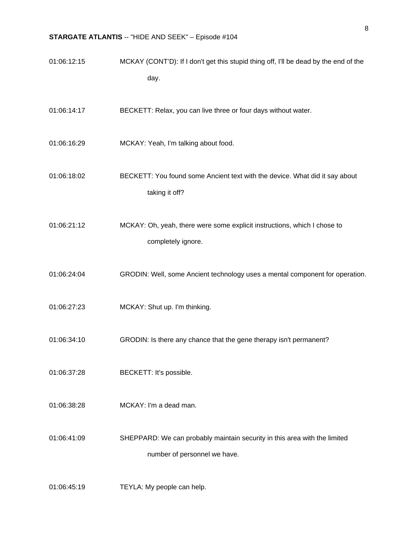| 01:06:12:15 | MCKAY (CONT'D): If I don't get this stupid thing off, I'll be dead by the end of the |
|-------------|--------------------------------------------------------------------------------------|
|             | day.                                                                                 |
| 01:06:14:17 | BECKETT: Relax, you can live three or four days without water.                       |
| 01:06:16:29 | MCKAY: Yeah, I'm talking about food.                                                 |

- 01:06:18:02 BECKETT: You found some Ancient text with the device. What did it say about taking it off?
- 01:06:21:12 MCKAY: Oh, yeah, there were some explicit instructions, which I chose to completely ignore.
- 01:06:24:04 GRODIN: Well, some Ancient technology uses a mental component for operation.
- 01:06:27:23 MCKAY: Shut up. I'm thinking.
- 01:06:34:10 GRODIN: Is there any chance that the gene therapy isn't permanent?
- 01:06:37:28 BECKETT: It's possible.
- 01:06:38:28 MCKAY: I'm a dead man.

01:06:41:09 SHEPPARD: We can probably maintain security in this area with the limited number of personnel we have.

01:06:45:19 TEYLA: My people can help.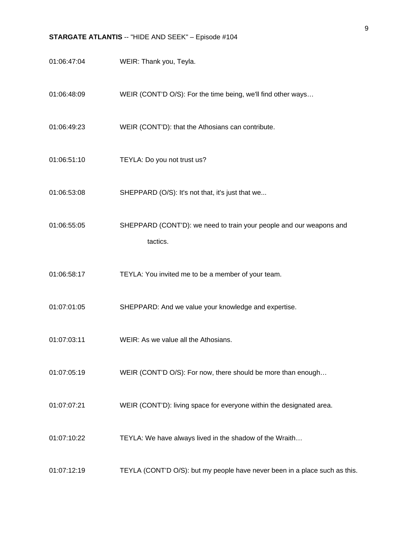| 01:06:47:04 | WEIR: Thank you, Teyla.                                                         |
|-------------|---------------------------------------------------------------------------------|
| 01:06:48:09 | WEIR (CONT'D O/S): For the time being, we'll find other ways                    |
| 01:06:49:23 | WEIR (CONT'D): that the Athosians can contribute.                               |
| 01:06:51:10 | TEYLA: Do you not trust us?                                                     |
| 01:06:53:08 | SHEPPARD (O/S): It's not that, it's just that we                                |
| 01:06:55:05 | SHEPPARD (CONT'D): we need to train your people and our weapons and<br>tactics. |
| 01:06:58:17 | TEYLA: You invited me to be a member of your team.                              |
| 01:07:01:05 | SHEPPARD: And we value your knowledge and expertise.                            |
| 01:07:03:11 | WEIR: As we value all the Athosians.                                            |
| 01:07:05:19 | WEIR (CONT'D O/S): For now, there should be more than enough                    |
| 01:07:07:21 | WEIR (CONT'D): living space for everyone within the designated area.            |
| 01:07:10:22 | TEYLA: We have always lived in the shadow of the Wraith                         |
| 01:07:12:19 | TEYLA (CONT'D O/S): but my people have never been in a place such as this.      |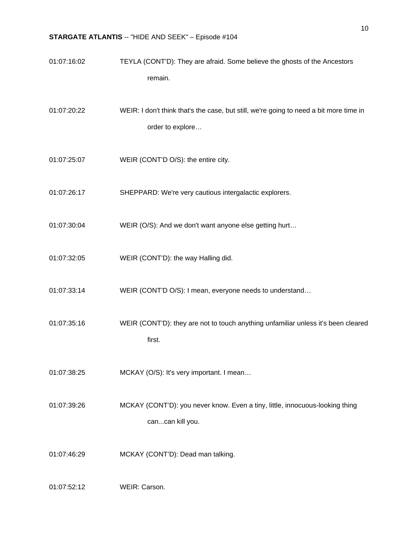- 01:07:16:02 TEYLA (CONT'D): They are afraid. Some believe the ghosts of the Ancestors remain.
- 01:07:20:22 WEIR: I don't think that's the case, but still, we're going to need a bit more time in order to explore…
- 01:07:25:07 WEIR (CONT'D O/S): the entire city.
- 01:07:26:17 SHEPPARD: We're very cautious intergalactic explorers.
- 01:07:30:04 WEIR (O/S): And we don't want anyone else getting hurt…
- 01:07:32:05 WEIR (CONT'D): the way Halling did.
- 01:07:33:14 WEIR (CONT'D O/S): I mean, everyone needs to understand…
- 01:07:35:16 WEIR (CONT'D): they are not to touch anything unfamiliar unless it's been cleared first.
- 01:07:38:25 MCKAY (O/S): It's very important. I mean…
- 01:07:39:26 MCKAY (CONT'D): you never know. Even a tiny, little, innocuous-looking thing can...can kill you.
- 01:07:46:29 MCKAY (CONT'D): Dead man talking.

01:07:52:12 WEIR: Carson.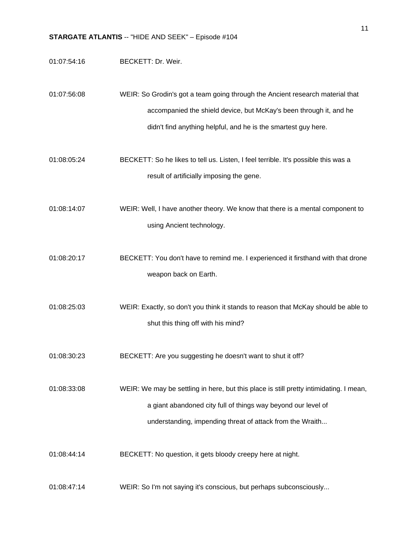- 01:07:54:16 BECKETT: Dr. Weir.
- 01:07:56:08 WEIR: So Grodin's got a team going through the Ancient research material that accompanied the shield device, but McKay's been through it, and he didn't find anything helpful, and he is the smartest guy here.
- 01:08:05:24 BECKETT: So he likes to tell us. Listen, I feel terrible. It's possible this was a result of artificially imposing the gene.
- 01:08:14:07 WEIR: Well, I have another theory. We know that there is a mental component to using Ancient technology.
- 01:08:20:17 BECKETT: You don't have to remind me. I experienced it firsthand with that drone weapon back on Earth.
- 01:08:25:03 WEIR: Exactly, so don't you think it stands to reason that McKay should be able to shut this thing off with his mind?
- 01:08:30:23 BECKETT: Are you suggesting he doesn't want to shut it off?
- 01:08:33:08 WEIR: We may be settling in here, but this place is still pretty intimidating. I mean, a giant abandoned city full of things way beyond our level of understanding, impending threat of attack from the Wraith...
- 01:08:44:14 BECKETT: No question, it gets bloody creepy here at night.
- 01:08:47:14 WEIR: So I'm not saying it's conscious, but perhaps subconsciously...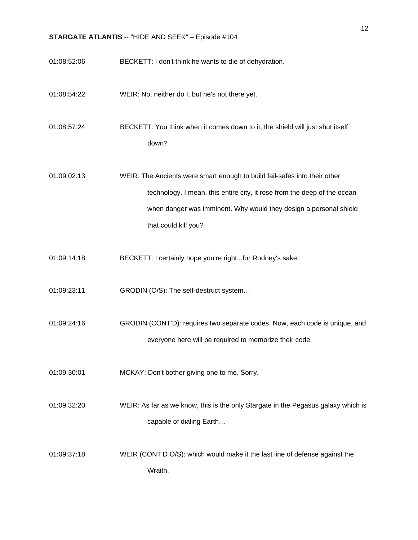- 01:08:52:06 BECKETT: I don't think he wants to die of dehydration.
- 01:08:54:22 WEIR: No, neither do I, but he's not there yet.

01:08:57:24 BECKETT: You think when it comes down to it, the shield will just shut itself down?

01:09:02:13 WEIR: The Ancients were smart enough to build fail-safes into their other technology. I mean, this entire city, it rose from the deep of the ocean when danger was imminent. Why would they design a personal shield that could kill you?

- 01:09:14:18 BECKETT: I certainly hope you're right...for Rodney's sake.
- 01:09:23:11 GRODIN (O/S): The self-destruct system…
- 01:09:24:16 GRODIN (CONT'D): requires two separate codes. Now, each code is unique, and everyone here will be required to memorize their code.
- 01:09:30:01 MCKAY: Don't bother giving one to me. Sorry.
- 01:09:32:20 WEIR: As far as we know, this is the only Stargate in the Pegasus galaxy which is capable of dialing Earth…

01:09:37:18 WEIR (CONT'D O/S): which would make it the last line of defense against the Wraith.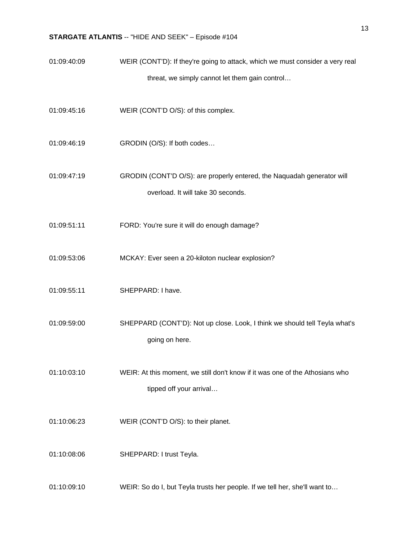- 01:09:40:09 WEIR (CONT'D): If they're going to attack, which we must consider a very real threat, we simply cannot let them gain control…
- 01:09:45:16 WEIR (CONT'D O/S): of this complex.
- 01:09:46:19 GRODIN (O/S): If both codes…
- 01:09:47:19 GRODIN (CONT'D O/S): are properly entered, the Naquadah generator will overload. It will take 30 seconds.
- 01:09:51:11 FORD: You're sure it will do enough damage?
- 01:09:53:06 MCKAY: Ever seen a 20-kiloton nuclear explosion?
- 01:09:55:11 SHEPPARD: I have.
- 01:09:59:00 SHEPPARD (CONT'D): Not up close. Look, I think we should tell Teyla what's going on here.
- 01:10:03:10 WEIR: At this moment, we still don't know if it was one of the Athosians who tipped off your arrival…
- 01:10:06:23 WEIR (CONT'D O/S): to their planet.
- 01:10:08:06 SHEPPARD: I trust Teyla.
- 01:10:09:10 WEIR: So do I, but Teyla trusts her people. If we tell her, she'll want to…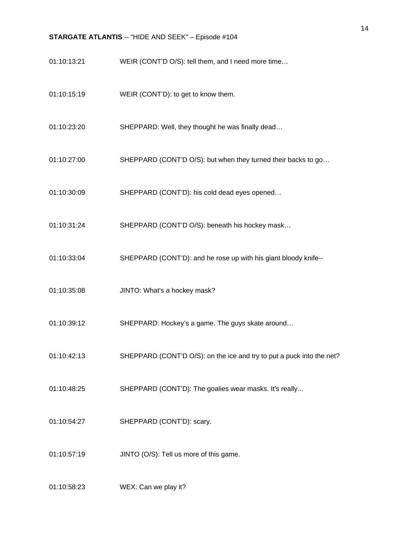- 01:10:13:21 WEIR (CONT'D O/S): tell them, and I need more time…
- 01:10:15:19 WEIR (CONT'D): to get to know them.
- 01:10:23:20 SHEPPARD: Well, they thought he was finally dead…
- 01:10:27:00 SHEPPARD (CONT'D O/S): but when they turned their backs to go…
- 01:10:30:09 SHEPPARD (CONT'D): his cold dead eyes opened…
- 01:10:31:24 SHEPPARD (CONT'D O/S): beneath his hockey mask…
- 01:10:33:04 SHEPPARD (CONT'D): and he rose up with his giant bloody knife--
- 01:10:35:08 JINTO: What's a hockey mask?
- 01:10:39:12 SHEPPARD: Hockey's a game. The guys skate around…
- 01:10:42:13 SHEPPARD (CONT'D O/S): on the ice and try to put a puck into the net?
- 01:10:48:25 SHEPPARD (CONT'D): The goalies wear masks. It's really...
- 01:10:54:27 SHEPPARD (CONT'D): scary.
- 01:10:57:19 JINTO (O/S): Tell us more of this game.
- 01:10:58:23 WEX: Can we play it?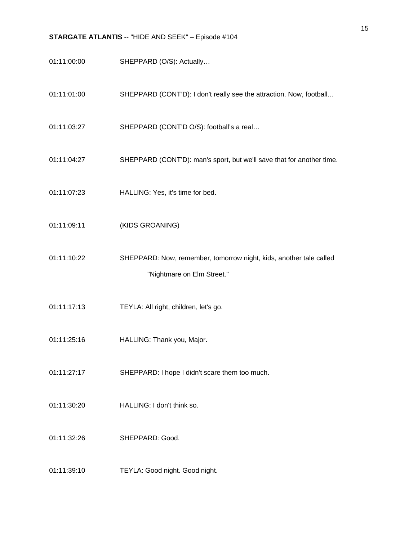- 01:11:00:00 SHEPPARD (O/S): Actually…
- 01:11:01:00 SHEPPARD (CONT'D): I don't really see the attraction. Now, football...
- 01:11:03:27 SHEPPARD (CONT'D O/S): football's a real…
- 01:11:04:27 SHEPPARD (CONT'D): man's sport, but we'll save that for another time.
- 01:11:07:23 HALLING: Yes, it's time for bed.
- 01:11:09:11 (KIDS GROANING)
- 01:11:10:22 SHEPPARD: Now, remember, tomorrow night, kids, another tale called "Nightmare on Elm Street."
- 01:11:17:13 TEYLA: All right, children, let's go.
- 01:11:25:16 HALLING: Thank you, Major.
- 01:11:27:17 SHEPPARD: I hope I didn't scare them too much.
- 01:11:30:20 HALLING: I don't think so.
- 01:11:32:26 SHEPPARD: Good.
- 01:11:39:10 TEYLA: Good night. Good night.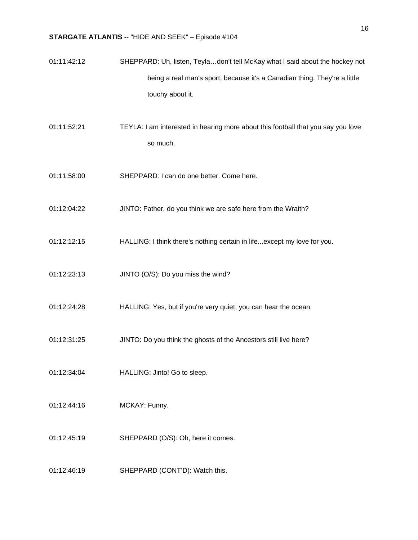- 01:11:42:12 SHEPPARD: Uh, listen, Teyla…don't tell McKay what I said about the hockey not being a real man's sport, because it's a Canadian thing. They're a little touchy about it.
- 01:11:52:21 TEYLA: I am interested in hearing more about this football that you say you love so much.
- 01:11:58:00 SHEPPARD: I can do one better. Come here.
- 01:12:04:22 JINTO: Father, do you think we are safe here from the Wraith?
- 01:12:12:15 HALLING: I think there's nothing certain in life...except my love for you.
- 01:12:23:13 JINTO (O/S): Do you miss the wind?
- 01:12:24:28 HALLING: Yes, but if you're very quiet, you can hear the ocean.
- 01:12:31:25 JINTO: Do you think the ghosts of the Ancestors still live here?
- 01:12:34:04 HALLING: Jinto! Go to sleep.
- 01:12:44:16 MCKAY: Funny.
- 01:12:45:19 SHEPPARD (O/S): Oh, here it comes.
- 01:12:46:19 SHEPPARD (CONT'D): Watch this.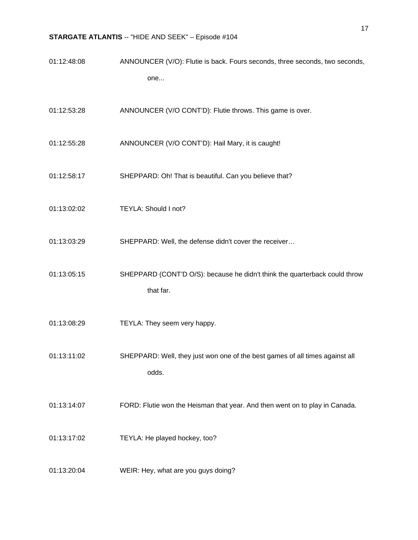| 01:12:48:08 | ANNOUNCER (V/O): Flutie is back. Fours seconds, three seconds, two seconds, |
|-------------|-----------------------------------------------------------------------------|
|             | one                                                                         |

01:12:53:28 ANNOUNCER (V/O CONT'D): Flutie throws. This game is over.

- 01:12:55:28 ANNOUNCER (V/O CONT'D): Hail Mary, it is caught!
- 01:12:58:17 SHEPPARD: Oh! That is beautiful. Can you believe that?
- 01:13:02:02 TEYLA: Should I not?
- 01:13:03:29 SHEPPARD: Well, the defense didn't cover the receiver…
- 01:13:05:15 SHEPPARD (CONT'D O/S): because he didn't think the quarterback could throw that far.
- 01:13:08:29 TEYLA: They seem very happy.

01:13:11:02 SHEPPARD: Well, they just won one of the best games of all times against all odds.

- 01:13:14:07 FORD: Flutie won the Heisman that year. And then went on to play in Canada.
- 01:13:17:02 TEYLA: He played hockey, too?
- 01:13:20:04 WEIR: Hey, what are you guys doing?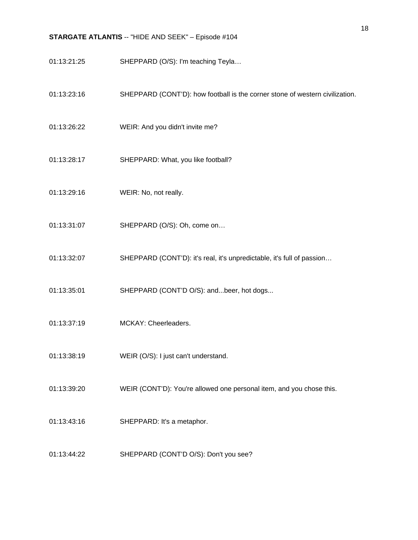- 01:13:21:25 SHEPPARD (O/S): I'm teaching Teyla…
- 01:13:23:16 SHEPPARD (CONT'D): how football is the corner stone of western civilization.
- 01:13:26:22 WEIR: And you didn't invite me?
- 01:13:28:17 SHEPPARD: What, you like football?
- 01:13:29:16 WEIR: No, not really.
- 01:13:31:07 SHEPPARD (O/S): Oh, come on…
- 01:13:32:07 SHEPPARD (CONT'D): it's real, it's unpredictable, it's full of passion…
- 01:13:35:01 SHEPPARD (CONT'D O/S): and...beer, hot dogs...
- 01:13:37:19 MCKAY: Cheerleaders.
- 01:13:38:19 WEIR (O/S): I just can't understand.
- 01:13:39:20 WEIR (CONT'D): You're allowed one personal item, and you chose this.
- 01:13:43:16 SHEPPARD: It's a metaphor.
- 01:13:44:22 SHEPPARD (CONT'D O/S): Don't you see?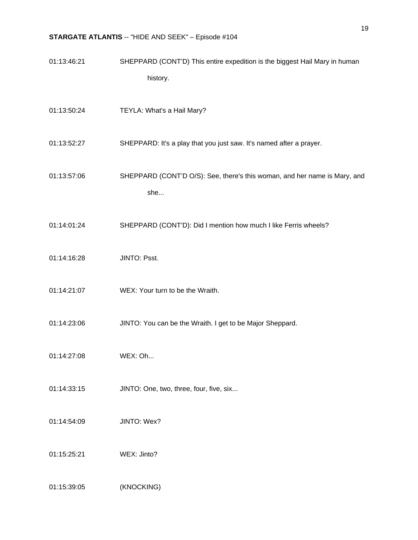| 01:13:46:21 | SHEPPARD (CONT'D) This entire expedition is the biggest Hail Mary in human       |
|-------------|----------------------------------------------------------------------------------|
|             | history.                                                                         |
| 01:13:50:24 | TEYLA: What's a Hail Mary?                                                       |
| 01:13:52:27 | SHEPPARD: It's a play that you just saw. It's named after a prayer.              |
| 01:13:57:06 | SHEPPARD (CONT'D O/S): See, there's this woman, and her name is Mary, and<br>she |
| 01:14:01:24 | SHEPPARD (CONT'D): Did I mention how much I like Ferris wheels?                  |
| 01:14:16:28 | JINTO: Psst.                                                                     |
| 01:14:21:07 | WEX: Your turn to be the Wraith.                                                 |
| 01:14:23:06 | JINTO: You can be the Wraith. I get to be Major Sheppard.                        |
| 01:14:27:08 | WEX: Oh                                                                          |
| 01:14:33:15 | JINTO: One, two, three, four, five, six                                          |
| 01:14:54:09 | JINTO: Wex?                                                                      |
| 01:15:25:21 | WEX: Jinto?                                                                      |
| 01:15:39:05 | (KNOCKING)                                                                       |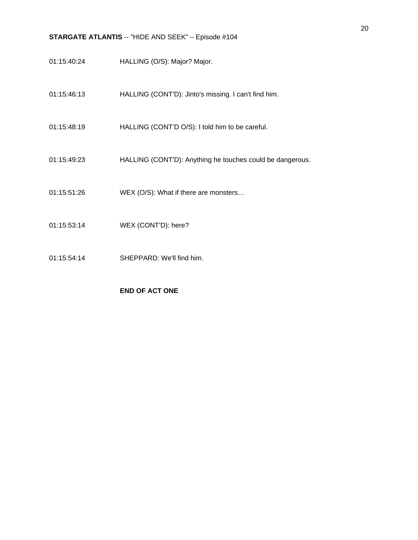- 01:15:40:24 HALLING (O/S): Major? Major.
- 01:15:46:13 HALLING (CONT'D): Jinto's missing. I can't find him.
- 01:15:48:19 HALLING (CONT'D O/S): I told him to be careful.
- 01:15:49:23 HALLING (CONT'D): Anything he touches could be dangerous.
- 01:15:51:26 WEX (O/S): What if there are monsters…
- 01:15:53:14 WEX (CONT'D): here?
- 01:15:54:14 SHEPPARD: We'll find him.

### **END OF ACT ONE**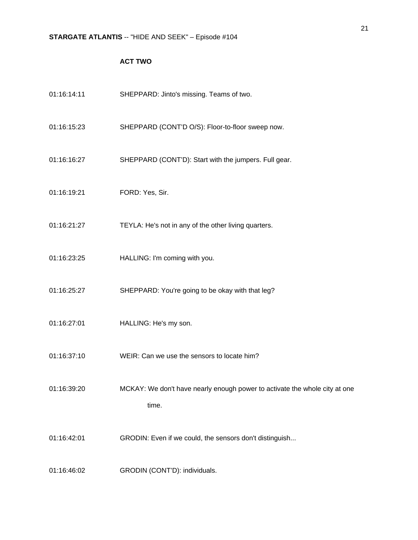## **ACT TWO**

| 01:16:14:11 | SHEPPARD: Jinto's missing. Teams of two.                                            |
|-------------|-------------------------------------------------------------------------------------|
| 01:16:15:23 | SHEPPARD (CONT'D O/S): Floor-to-floor sweep now.                                    |
| 01:16:16:27 | SHEPPARD (CONT'D): Start with the jumpers. Full gear.                               |
| 01:16:19:21 | FORD: Yes, Sir.                                                                     |
| 01:16:21:27 | TEYLA: He's not in any of the other living quarters.                                |
| 01:16:23:25 | HALLING: I'm coming with you.                                                       |
| 01:16:25:27 | SHEPPARD: You're going to be okay with that leg?                                    |
| 01:16:27:01 | HALLING: He's my son.                                                               |
| 01:16:37:10 | WEIR: Can we use the sensors to locate him?                                         |
| 01:16:39:20 | MCKAY: We don't have nearly enough power to activate the whole city at one<br>time. |
| 01:16:42:01 | GRODIN: Even if we could, the sensors don't distinguish                             |
| 01:16:46:02 | GRODIN (CONT'D): individuals.                                                       |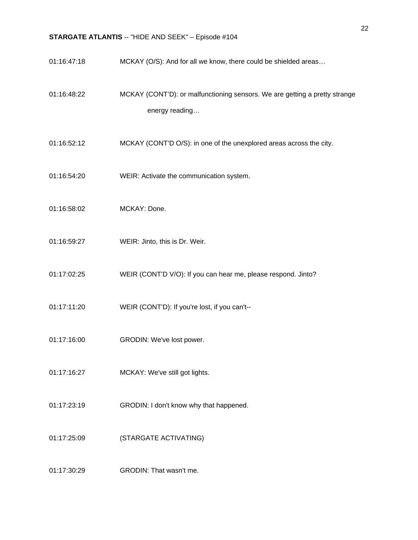| 01:16:47:18 | MCKAY (O/S): And for all we know, there could be shielded areas                              |
|-------------|----------------------------------------------------------------------------------------------|
| 01:16:48:22 | MCKAY (CONT'D): or malfunctioning sensors. We are getting a pretty strange<br>energy reading |
| 01:16:52:12 | MCKAY (CONT'D O/S): in one of the unexplored areas across the city.                          |
| 01:16:54:20 | WEIR: Activate the communication system.                                                     |
| 01:16:58:02 | MCKAY: Done.                                                                                 |
| 01:16:59:27 | WEIR: Jinto, this is Dr. Weir.                                                               |
| 01:17:02:25 | WEIR (CONT'D V/O): If you can hear me, please respond. Jinto?                                |
| 01:17:11:20 | WEIR (CONT'D): If you're lost, if you can't--                                                |
| 01:17:16:00 | GRODIN: We've lost power.                                                                    |
| 01:17:16:27 | MCKAY: We've still got lights.                                                               |
| 01:17:23:19 | GRODIN: I don't know why that happened.                                                      |
| 01:17:25:09 | (STARGATE ACTIVATING)                                                                        |
| 01:17:30:29 | GRODIN: That wasn't me.                                                                      |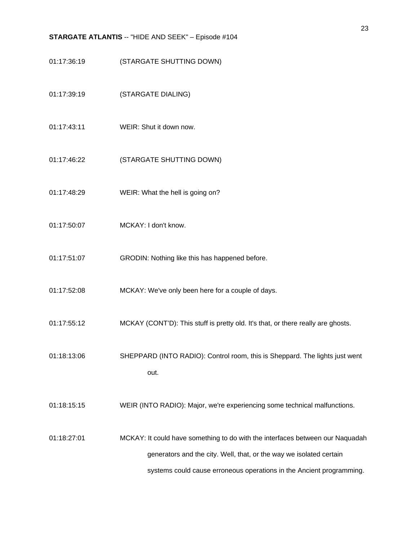- 01:17:36:19 (STARGATE SHUTTING DOWN)
- 01:17:39:19 (STARGATE DIALING)
- 01:17:43:11 WEIR: Shut it down now.
- 01:17:46:22 (STARGATE SHUTTING DOWN)
- 01:17:48:29 WEIR: What the hell is going on?
- 01:17:50:07 MCKAY: I don't know.
- 01:17:51:07 GRODIN: Nothing like this has happened before.
- 01:17:52:08 MCKAY: We've only been here for a couple of days.
- 01:17:55:12 MCKAY (CONT'D): This stuff is pretty old. It's that, or there really are ghosts.
- 01:18:13:06 SHEPPARD (INTO RADIO): Control room, this is Sheppard. The lights just went out.
- 01:18:15:15 WEIR (INTO RADIO): Major, we're experiencing some technical malfunctions.

01:18:27:01 MCKAY: It could have something to do with the interfaces between our Naquadah generators and the city. Well, that, or the way we isolated certain systems could cause erroneous operations in the Ancient programming.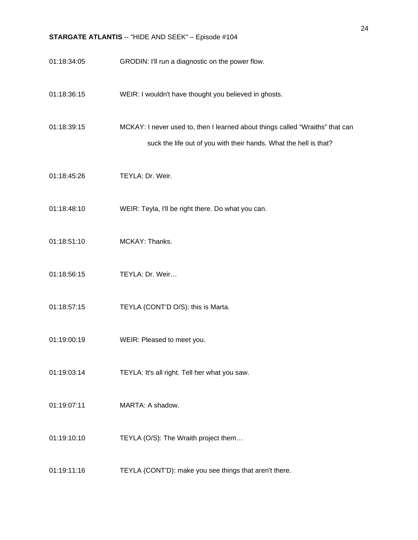| 01:18:34:05 | GRODIN: I'll run a diagnostic on the power flow.                                                                                                   |
|-------------|----------------------------------------------------------------------------------------------------------------------------------------------------|
| 01:18:36:15 | WEIR: I wouldn't have thought you believed in ghosts.                                                                                              |
| 01:18:39:15 | MCKAY: I never used to, then I learned about things called "Wraiths" that can<br>suck the life out of you with their hands. What the hell is that? |
| 01:18:45:26 | TEYLA: Dr. Weir.                                                                                                                                   |
| 01:18:48:10 | WEIR: Teyla, I'll be right there. Do what you can.                                                                                                 |
| 01:18:51:10 | MCKAY: Thanks.                                                                                                                                     |
| 01:18:56:15 | TEYLA: Dr. Weir                                                                                                                                    |
| 01:18:57:15 | TEYLA (CONT'D O/S): this is Marta.                                                                                                                 |
| 01:19:00:19 | WEIR: Pleased to meet you.                                                                                                                         |
| 01:19:03:14 | TEYLA: It's all right. Tell her what you saw.                                                                                                      |
| 01:19:07:11 | MARTA: A shadow.                                                                                                                                   |
| 01:19:10:10 | TEYLA (O/S): The Wraith project them                                                                                                               |
| 01:19:11:16 | TEYLA (CONT'D): make you see things that aren't there.                                                                                             |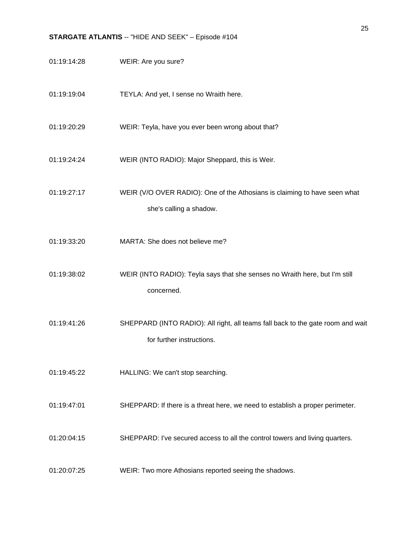01:19:14:28 WEIR: Are you sure? 01:19:19:04 TEYLA: And yet, I sense no Wraith here. 01:19:20:29 WEIR: Teyla, have you ever been wrong about that? 01:19:24:24 WEIR (INTO RADIO): Major Sheppard, this is Weir. 01:19:27:17 WEIR (V/O OVER RADIO): One of the Athosians is claiming to have seen what she's calling a shadow. 01:19:33:20 MARTA: She does not believe me? 01:19:38:02 WEIR (INTO RADIO): Teyla says that she senses no Wraith here, but I'm still concerned. 01:19:41:26 SHEPPARD (INTO RADIO): All right, all teams fall back to the gate room and wait for further instructions. 01:19:45:22 HALLING: We can't stop searching. 01:19:47:01 SHEPPARD: If there is a threat here, we need to establish a proper perimeter. 01:20:04:15 SHEPPARD: I've secured access to all the control towers and living quarters. 01:20:07:25 WEIR: Two more Athosians reported seeing the shadows.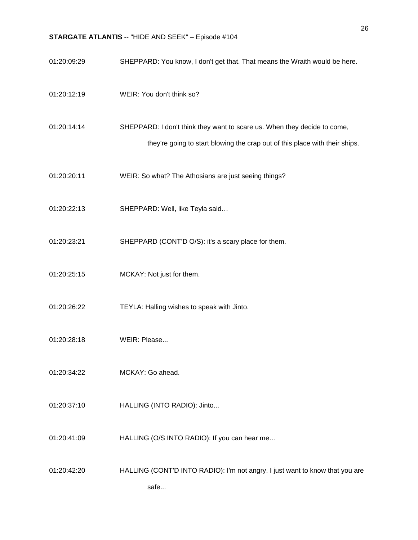| 01:20:09:29 | SHEPPARD: You know, I don't get that. That means the Wraith would be here.                                                                              |
|-------------|---------------------------------------------------------------------------------------------------------------------------------------------------------|
| 01:20:12:19 | WEIR: You don't think so?                                                                                                                               |
| 01:20:14:14 | SHEPPARD: I don't think they want to scare us. When they decide to come,<br>they're going to start blowing the crap out of this place with their ships. |
| 01:20:20:11 | WEIR: So what? The Athosians are just seeing things?                                                                                                    |
| 01:20:22:13 | SHEPPARD: Well, like Teyla said                                                                                                                         |
| 01:20:23:21 | SHEPPARD (CONT'D O/S): it's a scary place for them.                                                                                                     |
| 01:20:25:15 | MCKAY: Not just for them.                                                                                                                               |
| 01:20:26:22 | TEYLA: Halling wishes to speak with Jinto.                                                                                                              |
| 01:20:28:18 | WEIR: Please                                                                                                                                            |
| 01:20:34:22 | MCKAY: Go ahead.                                                                                                                                        |
| 01:20:37:10 | HALLING (INTO RADIO): Jinto                                                                                                                             |
| 01:20:41:09 | HALLING (O/S INTO RADIO): If you can hear me                                                                                                            |
| 01:20:42:20 | HALLING (CONT'D INTO RADIO): I'm not angry. I just want to know that you are<br>safe                                                                    |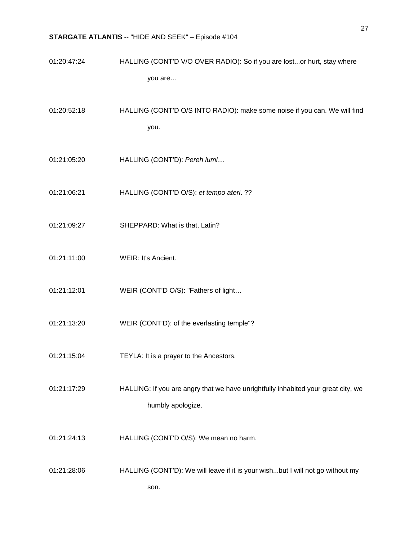- 01:20:47:24 HALLING (CONT'D V/O OVER RADIO): So if you are lost...or hurt, stay where you are…
- 01:20:52:18 HALLING (CONT'D O/S INTO RADIO): make some noise if you can. We will find you.
- 01:21:05:20 HALLING (CONT'D): *Pereh lumi*…
- 01:21:06:21 HALLING (CONT'D O/S): *et tempo ateri*. ??
- 01:21:09:27 SHEPPARD: What is that, Latin?
- 01:21:11:00 WEIR: It's Ancient.
- 01:21:12:01 WEIR (CONT'D O/S): "Fathers of light...
- 01:21:13:20 WEIR (CONT'D): of the everlasting temple"?
- 01:21:15:04 TEYLA: It is a prayer to the Ancestors.
- 01:21:17:29 HALLING: If you are angry that we have unrightfully inhabited your great city, we humbly apologize.
- 01:21:24:13 HALLING (CONT'D O/S): We mean no harm.
- 01:21:28:06 HALLING (CONT'D): We will leave if it is your wish...but I will not go without my son.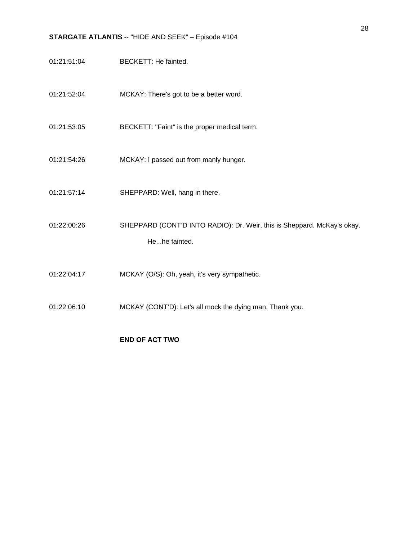- 01:21:51:04 BECKETT: He fainted.
- 01:21:52:04 MCKAY: There's got to be a better word.
- 01:21:53:05 BECKETT: "Faint" is the proper medical term.
- 01:21:54:26 MCKAY: I passed out from manly hunger.
- 01:21:57:14 SHEPPARD: Well, hang in there.
- 01:22:00:26 SHEPPARD (CONT'D INTO RADIO): Dr. Weir, this is Sheppard. McKay's okay. He...he fainted.
- 01:22:04:17 MCKAY (O/S): Oh, yeah, it's very sympathetic.
- 01:22:06:10 MCKAY (CONT'D): Let's all mock the dying man. Thank you.

### **END OF ACT TWO**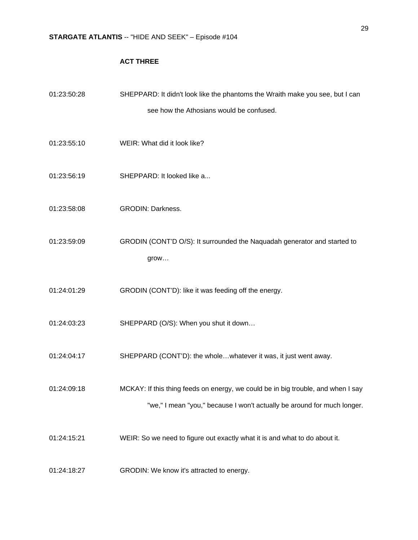## **ACT THREE**

| 01:23:50:28 | SHEPPARD: It didn't look like the phantoms the Wraith make you see, but I can                                                                               |
|-------------|-------------------------------------------------------------------------------------------------------------------------------------------------------------|
|             | see how the Athosians would be confused.                                                                                                                    |
| 01:23:55:10 | WEIR: What did it look like?                                                                                                                                |
| 01:23:56:19 | SHEPPARD: It looked like a                                                                                                                                  |
| 01:23:58:08 | <b>GRODIN: Darkness.</b>                                                                                                                                    |
| 01:23:59:09 | GRODIN (CONT'D O/S): It surrounded the Naquadah generator and started to<br>grow                                                                            |
| 01:24:01:29 | GRODIN (CONT'D): like it was feeding off the energy.                                                                                                        |
| 01:24:03:23 | SHEPPARD (O/S): When you shut it down                                                                                                                       |
| 01:24:04:17 | SHEPPARD (CONT'D): the wholewhatever it was, it just went away.                                                                                             |
| 01:24:09:18 | MCKAY: If this thing feeds on energy, we could be in big trouble, and when I say<br>"we," I mean "you," because I won't actually be around for much longer. |
| 01:24:15:21 | WEIR: So we need to figure out exactly what it is and what to do about it.                                                                                  |
| 01:24:18:27 | GRODIN: We know it's attracted to energy.                                                                                                                   |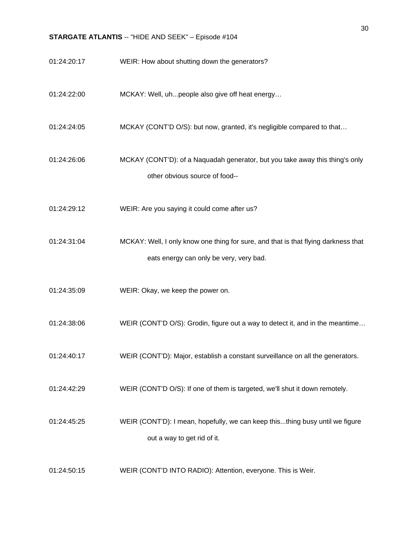- 01:24:20:17 WEIR: How about shutting down the generators?
- 01:24:22:00 MCKAY: Well, uh...people also give off heat energy…
- 01:24:24:05 MCKAY (CONT'D O/S): but now, granted, it's negligible compared to that...
- 01:24:26:06 MCKAY (CONT'D): of a Naquadah generator, but you take away this thing's only other obvious source of food--
- 01:24:29:12 WEIR: Are you saying it could come after us?
- 01:24:31:04 MCKAY: Well, I only know one thing for sure, and that is that flying darkness that eats energy can only be very, very bad.
- 01:24:35:09 WEIR: Okay, we keep the power on.
- 01:24:38:06 WEIR (CONT'D O/S): Grodin, figure out a way to detect it, and in the meantime...
- 01:24:40:17 WEIR (CONT'D): Major, establish a constant surveillance on all the generators.
- 01:24:42:29 WEIR (CONT'D O/S): If one of them is targeted, we'll shut it down remotely.
- 01:24:45:25 WEIR (CONT'D): I mean, hopefully, we can keep this...thing busy until we figure out a way to get rid of it.
- 01:24:50:15 WEIR (CONT'D INTO RADIO): Attention, everyone. This is Weir.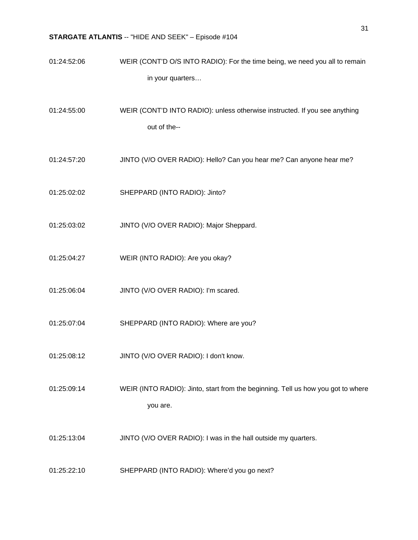- 01:24:52:06 WEIR (CONT'D O/S INTO RADIO): For the time being, we need you all to remain in your quarters…
- 01:24:55:00 WEIR (CONT'D INTO RADIO): unless otherwise instructed. If you see anything out of the--
- 01:24:57:20 JINTO (V/O OVER RADIO): Hello? Can you hear me? Can anyone hear me?
- 01:25:02:02 SHEPPARD (INTO RADIO): Jinto?
- 01:25:03:02 JINTO (V/O OVER RADIO): Major Sheppard.
- 01:25:04:27 WEIR (INTO RADIO): Are you okay?
- 01:25:06:04 JINTO (V/O OVER RADIO): I'm scared.
- 01:25:07:04 SHEPPARD (INTO RADIO): Where are you?
- 01:25:08:12 JINTO (V/O OVER RADIO): I don't know.
- 01:25:09:14 WEIR (INTO RADIO): Jinto, start from the beginning. Tell us how you got to where you are.
- 01:25:13:04 JINTO (V/O OVER RADIO): I was in the hall outside my quarters.
- 01:25:22:10 SHEPPARD (INTO RADIO): Where'd you go next?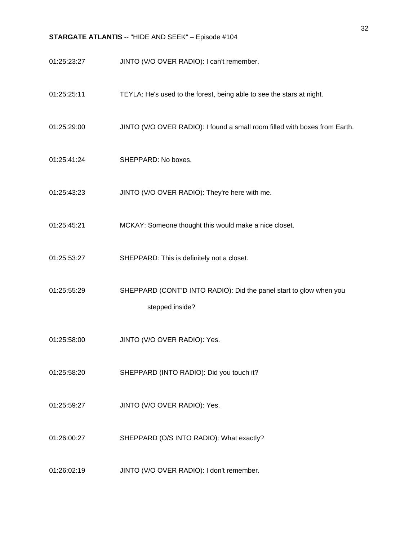- 01:25:23:27 JINTO (V/O OVER RADIO): I can't remember.
- 01:25:25:11 TEYLA: He's used to the forest, being able to see the stars at night.
- 01:25:29:00 JINTO (V/O OVER RADIO): I found a small room filled with boxes from Earth.
- 01:25:41:24 SHEPPARD: No boxes.
- 01:25:43:23 JINTO (V/O OVER RADIO): They're here with me.
- 01:25:45:21 MCKAY: Someone thought this would make a nice closet.
- 01:25:53:27 SHEPPARD: This is definitely not a closet.
- 01:25:55:29 SHEPPARD (CONT'D INTO RADIO): Did the panel start to glow when you stepped inside?
- 01:25:58:00 JINTO (V/O OVER RADIO): Yes.
- 01:25:58:20 SHEPPARD (INTO RADIO): Did you touch it?
- 01:25:59:27 JINTO (V/O OVER RADIO): Yes.
- 01:26:00:27 SHEPPARD (O/S INTO RADIO): What exactly?
- 01:26:02:19 JINTO (V/O OVER RADIO): I don't remember.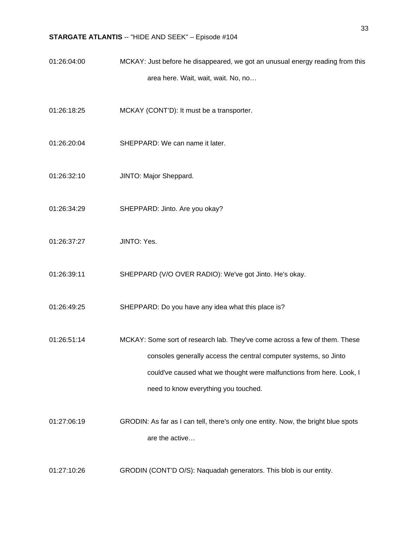- 01:26:04:00 MCKAY: Just before he disappeared, we got an unusual energy reading from this area here. Wait, wait, wait. No, no…
- 01:26:18:25 MCKAY (CONT'D): It must be a transporter.
- 01:26:20:04 SHEPPARD: We can name it later.
- 01:26:32:10 JINTO: Major Sheppard.
- 01:26:34:29 SHEPPARD: Jinto. Are you okay?
- 01:26:37:27 JINTO: Yes.
- 01:26:39:11 SHEPPARD (V/O OVER RADIO): We've got Jinto. He's okay.
- 01:26:49:25 SHEPPARD: Do you have any idea what this place is?
- 01:26:51:14 MCKAY: Some sort of research lab. They've come across a few of them. These consoles generally access the central computer systems, so Jinto could've caused what we thought were malfunctions from here. Look, I need to know everything you touched.
- 01:27:06:19 GRODIN: As far as I can tell, there's only one entity. Now, the bright blue spots are the active…
- 01:27:10:26 GRODIN (CONT'D O/S): Naquadah generators. This blob is our entity.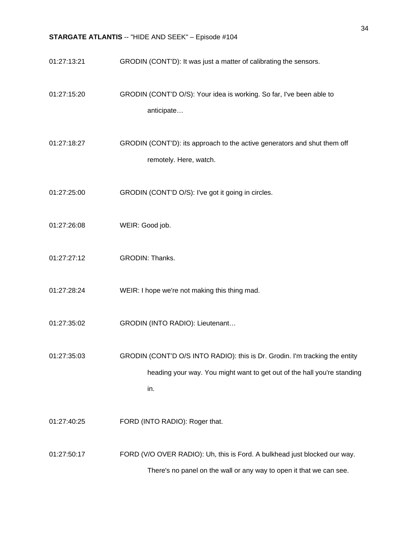01:27:13:21 GRODIN (CONT'D): It was just a matter of calibrating the sensors. 01:27:15:20 GRODIN (CONT'D O/S): Your idea is working. So far, I've been able to anticipate… 01:27:18:27 GRODIN (CONT'D): its approach to the active generators and shut them off remotely. Here, watch. 01:27:25:00 GRODIN (CONT'D O/S): I've got it going in circles. 01:27:26:08 WEIR: Good job. 01:27:27:12 GRODIN: Thanks. 01:27:28:24 WEIR: I hope we're not making this thing mad. 01:27:35:02 GRODIN (INTO RADIO): Lieutenant… 01:27:35:03 GRODIN (CONT'D O/S INTO RADIO): this is Dr. Grodin. I'm tracking the entity heading your way. You might want to get out of the hall you're standing in. 01:27:40:25 FORD (INTO RADIO): Roger that. 01:27:50:17 FORD (V/O OVER RADIO): Uh, this is Ford. A bulkhead just blocked our way. There's no panel on the wall or any way to open it that we can see.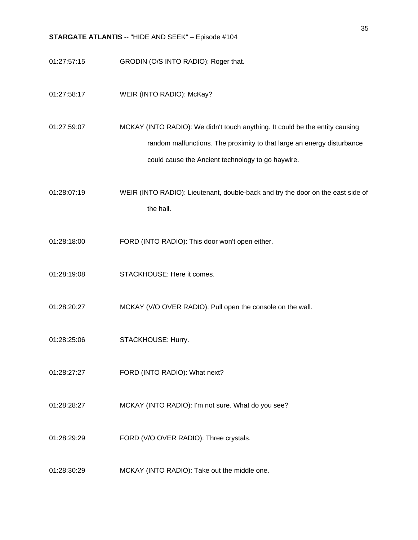- 01:27:57:15 GRODIN (O/S INTO RADIO): Roger that.
- 01:27:58:17 WEIR (INTO RADIO): McKay?
- 01:27:59:07 MCKAY (INTO RADIO): We didn't touch anything. It could be the entity causing random malfunctions. The proximity to that large an energy disturbance could cause the Ancient technology to go haywire.
- 01:28:07:19 WEIR (INTO RADIO): Lieutenant, double-back and try the door on the east side of the hall.
- 01:28:18:00 FORD (INTO RADIO): This door won't open either.
- 01:28:19:08 STACKHOUSE: Here it comes.
- 01:28:20:27 MCKAY (V/O OVER RADIO): Pull open the console on the wall.
- 01:28:25:06 STACKHOUSE: Hurry.
- 01:28:27:27 FORD (INTO RADIO): What next?
- 01:28:28:27 MCKAY (INTO RADIO): I'm not sure. What do you see?
- 01:28:29:29 FORD (V/O OVER RADIO): Three crystals.
- 01:28:30:29 MCKAY (INTO RADIO): Take out the middle one.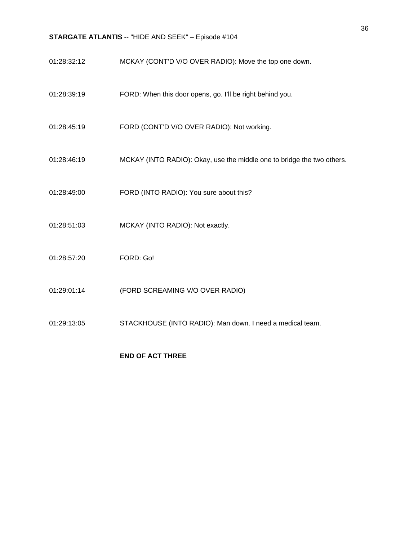- 01:28:32:12 MCKAY (CONT'D V/O OVER RADIO): Move the top one down.
- 01:28:39:19 FORD: When this door opens, go. I'll be right behind you.
- 01:28:45:19 FORD (CONT'D V/O OVER RADIO): Not working.
- 01:28:46:19 MCKAY (INTO RADIO): Okay, use the middle one to bridge the two others.
- 01:28:49:00 FORD (INTO RADIO): You sure about this?
- 01:28:51:03 MCKAY (INTO RADIO): Not exactly.
- 01:28:57:20 FORD: Go!
- 01:29:01:14 (FORD SCREAMING V/O OVER RADIO)
- 01:29:13:05 STACKHOUSE (INTO RADIO): Man down. I need a medical team.

### **END OF ACT THREE**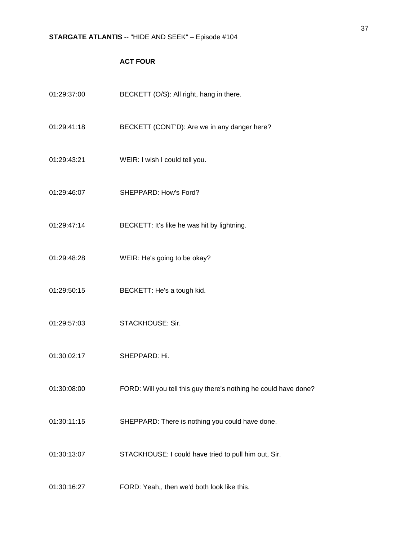## **ACT FOUR**

| 01:29:37:00 | BECKETT (O/S): All right, hang in there.                         |
|-------------|------------------------------------------------------------------|
| 01:29:41:18 | BECKETT (CONT'D): Are we in any danger here?                     |
| 01:29:43:21 | WEIR: I wish I could tell you.                                   |
| 01:29:46:07 | SHEPPARD: How's Ford?                                            |
| 01:29:47:14 | BECKETT: It's like he was hit by lightning.                      |
| 01:29:48:28 | WEIR: He's going to be okay?                                     |
| 01:29:50:15 | BECKETT: He's a tough kid.                                       |
| 01:29:57:03 | STACKHOUSE: Sir.                                                 |
| 01:30:02:17 | SHEPPARD: Hi.                                                    |
| 01:30:08:00 | FORD: Will you tell this guy there's nothing he could have done? |
| 01:30:11:15 | SHEPPARD: There is nothing you could have done.                  |
| 01:30:13:07 | STACKHOUSE: I could have tried to pull him out, Sir.             |
| 01:30:16:27 | FORD: Yeah,, then we'd both look like this.                      |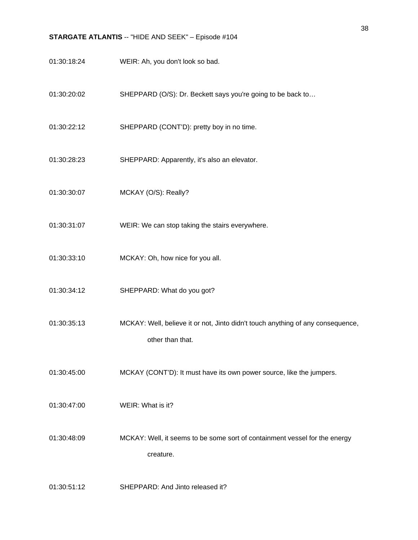- 01:30:18:24 WEIR: Ah, you don't look so bad.
- 01:30:20:02 SHEPPARD (O/S): Dr. Beckett says you're going to be back to…
- 01:30:22:12 SHEPPARD (CONT'D): pretty boy in no time.
- 01:30:28:23 SHEPPARD: Apparently, it's also an elevator.
- 01:30:30:07 MCKAY (O/S): Really?
- 01:30:31:07 WEIR: We can stop taking the stairs everywhere.
- 01:30:33:10 MCKAY: Oh, how nice for you all.
- 01:30:34:12 SHEPPARD: What do you got?
- 01:30:35:13 MCKAY: Well, believe it or not, Jinto didn't touch anything of any consequence, other than that.
- 01:30:45:00 MCKAY (CONT'D): It must have its own power source, like the jumpers.
- 01:30:47:00 WEIR: What is it?

01:30:48:09 MCKAY: Well, it seems to be some sort of containment vessel for the energy creature.

01:30:51:12 SHEPPARD: And Jinto released it?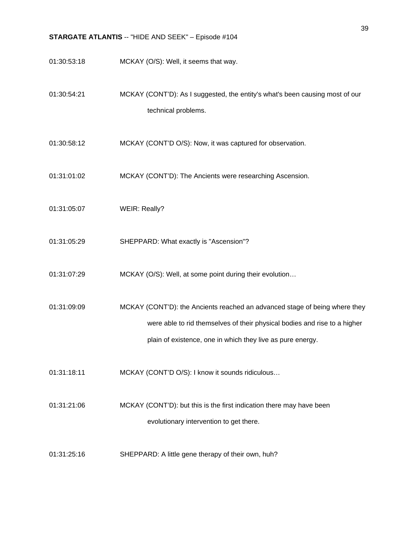- 01:30:53:18 MCKAY (O/S): Well, it seems that way.
- 01:30:54:21 MCKAY (CONT'D): As I suggested, the entity's what's been causing most of our technical problems.
- 01:30:58:12 MCKAY (CONT'D O/S): Now, it was captured for observation.
- 01:31:01:02 MCKAY (CONT'D): The Ancients were researching Ascension.
- 01:31:05:07 WEIR: Really?
- 01:31:05:29 SHEPPARD: What exactly is "Ascension"?
- 01:31:07:29 MCKAY (O/S): Well, at some point during their evolution...
- 01:31:09:09 MCKAY (CONT'D): the Ancients reached an advanced stage of being where they were able to rid themselves of their physical bodies and rise to a higher plain of existence, one in which they live as pure energy.
- 01:31:18:11 MCKAY (CONT'D O/S): I know it sounds ridiculous…
- 01:31:21:06 MCKAY (CONT'D): but this is the first indication there may have been evolutionary intervention to get there.
- 01:31:25:16 SHEPPARD: A little gene therapy of their own, huh?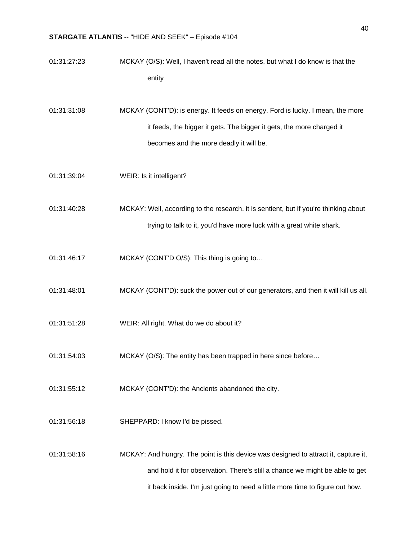| 01:31:27:23 | MCKAY (O/S): Well, I haven't read all the notes, but what I do know is that the      |
|-------------|--------------------------------------------------------------------------------------|
|             | entity                                                                               |
| 01:31:31:08 | MCKAY (CONT'D): is energy. It feeds on energy. Ford is lucky. I mean, the more       |
|             | it feeds, the bigger it gets. The bigger it gets, the more charged it                |
|             | becomes and the more deadly it will be.                                              |
| 01:31:39:04 | WEIR: Is it intelligent?                                                             |
| 01:31:40:28 | MCKAY: Well, according to the research, it is sentient, but if you're thinking about |
|             | trying to talk to it, you'd have more luck with a great white shark.                 |
| 01:31:46:17 | MCKAY (CONT'D O/S): This thing is going to                                           |
| 01:31:48:01 | MCKAY (CONT'D): suck the power out of our generators, and then it will kill us all.  |
| 01:31:51:28 | WEIR: All right. What do we do about it?                                             |
| 01:31:54:03 | MCKAY (O/S): The entity has been trapped in here since before                        |
| 01:31:55:12 | MCKAY (CONT'D): the Ancients abandoned the city.                                     |
| 01:31:56:18 | SHEPPARD: I know I'd be pissed.                                                      |
| 01:31:58:16 | MCKAY: And hungry. The point is this device was designed to attract it, capture it,  |
|             | and hold it for observation. There's still a chance we might be able to get          |
|             | it back inside. I'm just going to need a little more time to figure out how.         |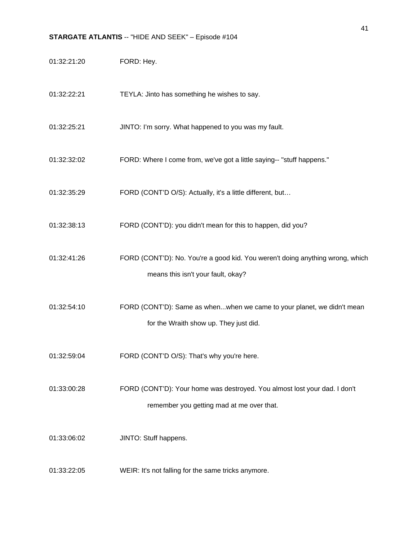| 01:32:21:20 | FORD: Hey.                                                                                                             |
|-------------|------------------------------------------------------------------------------------------------------------------------|
| 01:32:22:21 | TEYLA: Jinto has something he wishes to say.                                                                           |
| 01:32:25:21 | JINTO: I'm sorry. What happened to you was my fault.                                                                   |
| 01:32:32:02 | FORD: Where I come from, we've got a little saying-- "stuff happens."                                                  |
| 01:32:35:29 | FORD (CONT'D O/S): Actually, it's a little different, but                                                              |
| 01:32:38:13 | FORD (CONT'D): you didn't mean for this to happen, did you?                                                            |
| 01:32:41:26 | FORD (CONT'D): No. You're a good kid. You weren't doing anything wrong, which<br>means this isn't your fault, okay?    |
| 01:32:54:10 | FORD (CONT'D): Same as whenwhen we came to your planet, we didn't mean<br>for the Wraith show up. They just did.       |
| 01:32:59:04 | FORD (CONT'D O/S): That's why you're here.                                                                             |
| 01:33:00:28 | FORD (CONT'D): Your home was destroyed. You almost lost your dad. I don't<br>remember you getting mad at me over that. |
| 01:33:06:02 | JINTO: Stuff happens.                                                                                                  |
| 01:33:22:05 | WEIR: It's not falling for the same tricks anymore.                                                                    |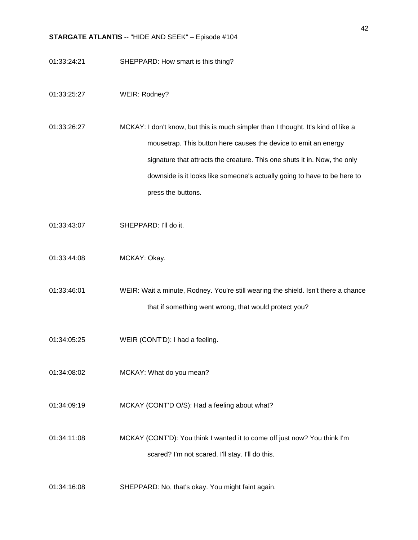- 01:33:24:21 SHEPPARD: How smart is this thing?
- 01:33:25:27 WEIR: Rodney?
- 01:33:26:27 MCKAY: I don't know, but this is much simpler than I thought. It's kind of like a mousetrap. This button here causes the device to emit an energy signature that attracts the creature. This one shuts it in. Now, the only downside is it looks like someone's actually going to have to be here to press the buttons.
- 01:33:43:07 SHEPPARD: I'll do it.
- 01:33:44:08 MCKAY: Okay.
- 01:33:46:01 WEIR: Wait a minute, Rodney. You're still wearing the shield. Isn't there a chance that if something went wrong, that would protect you?
- 01:34:05:25 WEIR (CONT'D): I had a feeling.
- 01:34:08:02 MCKAY: What do you mean?
- 01:34:09:19 MCKAY (CONT'D O/S): Had a feeling about what?
- 01:34:11:08 MCKAY (CONT'D): You think I wanted it to come off just now? You think I'm scared? I'm not scared. I'll stay. I'll do this.
- 01:34:16:08 SHEPPARD: No, that's okay. You might faint again.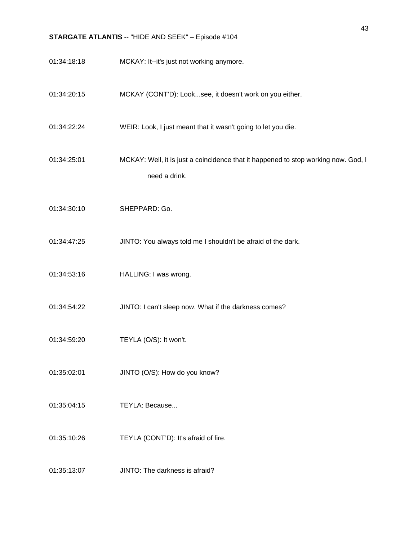| 01:34:18:18 | MCKAY: It--it's just not working anymore.                                                           |
|-------------|-----------------------------------------------------------------------------------------------------|
| 01:34:20:15 | MCKAY (CONT'D): Looksee, it doesn't work on you either.                                             |
| 01:34:22:24 | WEIR: Look, I just meant that it wasn't going to let you die.                                       |
| 01:34:25:01 | MCKAY: Well, it is just a coincidence that it happened to stop working now. God, I<br>need a drink. |
| 01:34:30:10 | SHEPPARD: Go.                                                                                       |
| 01:34:47:25 | JINTO: You always told me I shouldn't be afraid of the dark.                                        |
| 01:34:53:16 | HALLING: I was wrong.                                                                               |
| 01:34:54:22 | JINTO: I can't sleep now. What if the darkness comes?                                               |
| 01:34:59:20 | TEYLA (O/S): It won't.                                                                              |
| 01:35:02:01 | JINTO (O/S): How do you know?                                                                       |
| 01:35:04:15 | TEYLA: Because                                                                                      |
| 01:35:10:26 | TEYLA (CONT'D): It's afraid of fire.                                                                |
| 01:35:13:07 | JINTO: The darkness is afraid?                                                                      |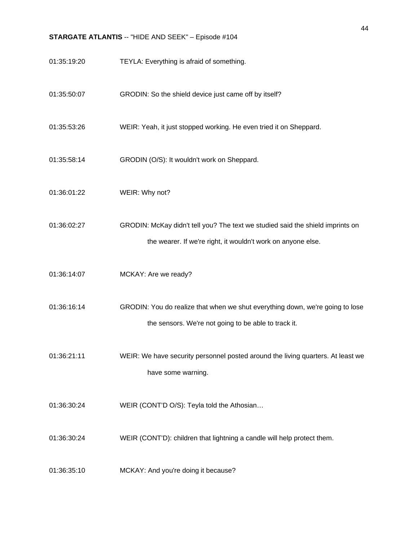- 01:35:19:20 TEYLA: Everything is afraid of something.
- 01:35:50:07 GRODIN: So the shield device just came off by itself?
- 01:35:53:26 WEIR: Yeah, it just stopped working. He even tried it on Sheppard.
- 01:35:58:14 GRODIN (O/S): It wouldn't work on Sheppard.
- 01:36:01:22 WEIR: Why not?
- 01:36:02:27 GRODIN: McKay didn't tell you? The text we studied said the shield imprints on the wearer. If we're right, it wouldn't work on anyone else.
- 01:36:14:07 MCKAY: Are we ready?
- 01:36:16:14 GRODIN: You do realize that when we shut everything down, we're going to lose the sensors. We're not going to be able to track it.
- 01:36:21:11 WEIR: We have security personnel posted around the living quarters. At least we have some warning.
- 01:36:30:24 WEIR (CONT'D O/S): Teyla told the Athosian…
- 01:36:30:24 WEIR (CONT'D): children that lightning a candle will help protect them.
- 01:36:35:10 MCKAY: And you're doing it because?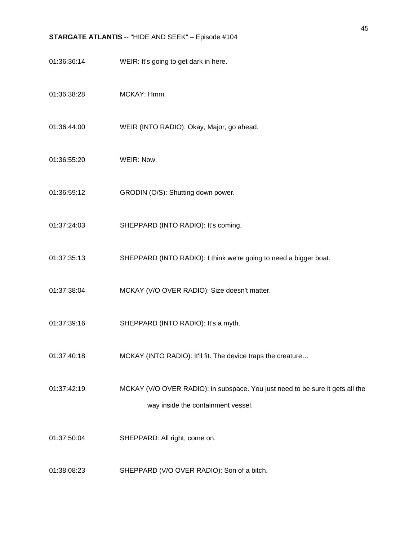- 01:36:36:14 WEIR: It's going to get dark in here.
- 01:36:38:28 MCKAY: Hmm.
- 01:36:44:00 WEIR (INTO RADIO): Okay, Major, go ahead.
- 01:36:55:20 WEIR: Now.
- 01:36:59:12 GRODIN (O/S): Shutting down power.
- 01:37:24:03 SHEPPARD (INTO RADIO): It's coming.
- 01:37:35:13 SHEPPARD (INTO RADIO): I think we're going to need a bigger boat.
- 01:37:38:04 MCKAY (V/O OVER RADIO): Size doesn't matter.
- 01:37:39:16 SHEPPARD (INTO RADIO): It's a myth.
- 01:37:40:18 MCKAY (INTO RADIO): It'll fit. The device traps the creature...
- 01:37:42:19 MCKAY (V/O OVER RADIO): in subspace. You just need to be sure it gets all the way inside the containment vessel.
- 01:37:50:04 SHEPPARD: All right, come on.
- 01:38:08:23 SHEPPARD (V/O OVER RADIO): Son of a bitch.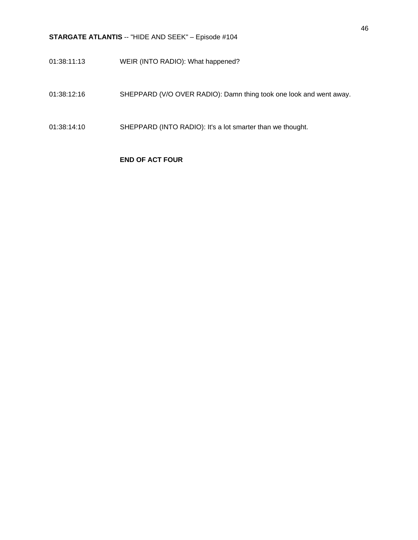- 01:38:11:13 WEIR (INTO RADIO): What happened?
- 01:38:12:16 SHEPPARD (V/O OVER RADIO): Damn thing took one look and went away.
- 01:38:14:10 SHEPPARD (INTO RADIO): It's a lot smarter than we thought.

## **END OF ACT FOUR**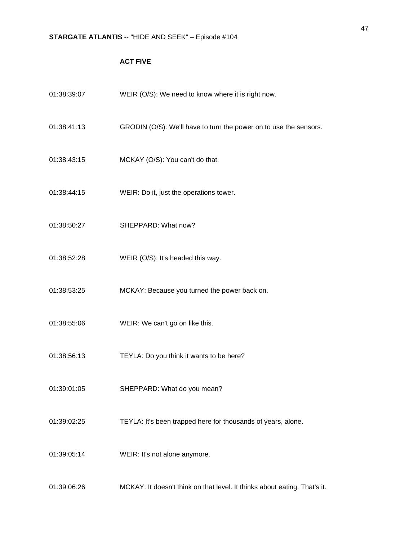## **ACT FIVE**

| 01:38:39:07 | WEIR (O/S): We need to know where it is right now.                        |
|-------------|---------------------------------------------------------------------------|
| 01:38:41:13 | GRODIN (O/S): We'll have to turn the power on to use the sensors.         |
| 01:38:43:15 | MCKAY (O/S): You can't do that.                                           |
| 01:38:44:15 | WEIR: Do it, just the operations tower.                                   |
| 01:38:50:27 | SHEPPARD: What now?                                                       |
| 01:38:52:28 | WEIR (O/S): It's headed this way.                                         |
| 01:38:53:25 | MCKAY: Because you turned the power back on.                              |
| 01:38:55:06 | WEIR: We can't go on like this.                                           |
| 01:38:56:13 | TEYLA: Do you think it wants to be here?                                  |
| 01:39:01:05 | SHEPPARD: What do you mean?                                               |
| 01:39:02:25 | TEYLA: It's been trapped here for thousands of years, alone.              |
| 01:39:05:14 | WEIR: It's not alone anymore.                                             |
| 01:39:06:26 | MCKAY: It doesn't think on that level. It thinks about eating. That's it. |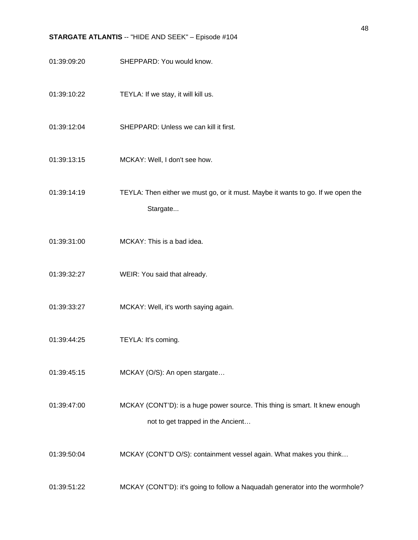- 01:39:09:20 SHEPPARD: You would know.
- 01:39:10:22 TEYLA: If we stay, it will kill us.
- 01:39:12:04 SHEPPARD: Unless we can kill it first.
- 01:39:13:15 MCKAY: Well, I don't see how.
- 01:39:14:19 TEYLA: Then either we must go, or it must. Maybe it wants to go. If we open the Stargate...
- 01:39:31:00 MCKAY: This is a bad idea.
- 01:39:32:27 WEIR: You said that already.
- 01:39:33:27 MCKAY: Well, it's worth saying again.
- 01:39:44:25 TEYLA: It's coming.
- 01:39:45:15 MCKAY (O/S): An open stargate…
- 01:39:47:00 MCKAY (CONT'D): is a huge power source. This thing is smart. It knew enough not to get trapped in the Ancient…
- 01:39:50:04 MCKAY (CONT'D O/S): containment vessel again. What makes you think…
- 01:39:51:22 MCKAY (CONT'D): it's going to follow a Naquadah generator into the wormhole?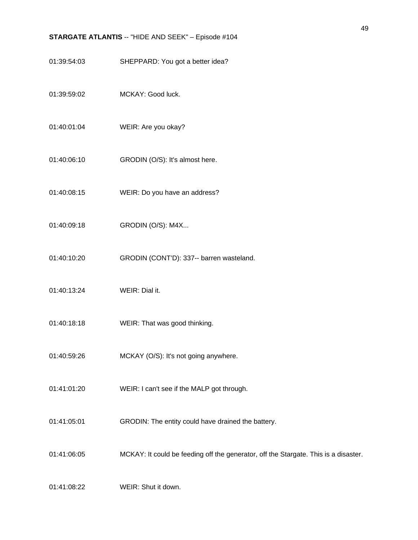- 01:39:54:03 SHEPPARD: You got a better idea?
- 01:39:59:02 MCKAY: Good luck.
- 01:40:01:04 WEIR: Are you okay?
- 01:40:06:10 **GRODIN** (O/S): It's almost here.
- 01:40:08:15 WEIR: Do you have an address?
- 01:40:09:18 GRODIN (O/S): M4X...
- 01:40:10:20 GRODIN (CONT'D): 337-- barren wasteland.
- 01:40:13:24 WEIR: Dial it.
- 01:40:18:18 WEIR: That was good thinking.
- 01:40:59:26 MCKAY (O/S): It's not going anywhere.
- 01:41:01:20 WEIR: I can't see if the MALP got through.
- 01:41:05:01 GRODIN: The entity could have drained the battery.
- 01:41:06:05 MCKAY: It could be feeding off the generator, off the Stargate. This is a disaster.

01:41:08:22 WEIR: Shut it down.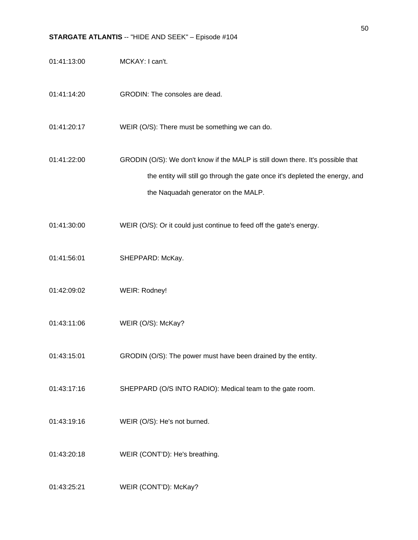- 01:41:13:00 MCKAY: I can't.
- 01:41:14:20 GRODIN: The consoles are dead.
- 01:41:20:17 WEIR (O/S): There must be something we can do.

01:41:22:00 GRODIN (O/S): We don't know if the MALP is still down there. It's possible that the entity will still go through the gate once it's depleted the energy, and the Naquadah generator on the MALP.

- 01:41:30:00 WEIR (O/S): Or it could just continue to feed off the gate's energy.
- 01:41:56:01 SHEPPARD: McKay.
- 01:42:09:02 WEIR: Rodney!
- 01:43:11:06 WEIR (O/S): McKay?
- 01:43:15:01 GRODIN (O/S): The power must have been drained by the entity.
- 01:43:17:16 SHEPPARD (O/S INTO RADIO): Medical team to the gate room.
- 01:43:19:16 WEIR (O/S): He's not burned.
- 01:43:20:18 WEIR (CONT'D): He's breathing.
- 01:43:25:21 WEIR (CONT'D): McKay?